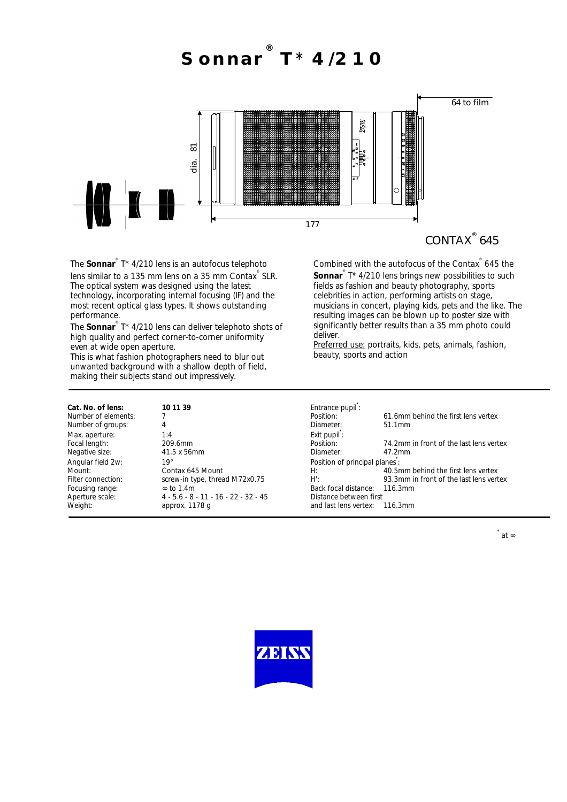**Sonnar ® T**\* **4/210**



CONTAX<sup>®</sup> 645

The **Sonnar**<sup>®</sup> T\* 4/210 lens is an autofocus telephoto lens similar to a 135 mm lens on a 35 mm Contax<sup>®</sup> SLR. The optical system was designed using the latest technology, incorporating internal focusing (IF) and the most recent optical glass types. It shows outstanding performance.

.<br>The **Sonnar**<sup>®</sup> T\* 4/210 lens can deliver telephoto shots of high quality and perfect corner-to-corner uniformity even at wide open aperture.

This is what fashion photographers need to blur out unwanted background with a shallow depth of field, making their subjects stand out impressively.

Combined with the autofocus of the Contax ® 645 the Sonnar<sup>®</sup> T\* 4/210 lens brings new possibilities to such fields as fashion and beauty photography, sports celebrities in action, performing artists on stage, musicians in concert, playing kids, pets and the like. The resulting images can be blown up to poster size with significantly better results than a 35 mm photo could deliver.

Preferred use: portraits, kids, pets, animals, fashion, beauty, sports and action

| Cat. No. of lens:  |
|--------------------|
| Number of element  |
| Number of groups:  |
| Max. aperture:     |
| Focal length:      |
| Negative size:     |
| Angular field 2w:  |
| Mount:             |
| Filter connection: |
| Focusing range:    |
| Aperture scale:    |
| Weight:            |
|                    |

Number of groups:  $\begin{array}{ccc} 4 & 4 & 4 \end{array}$  Diameter: 51.1mm Max. aperture: 1:4 1:4 Exit pupil<sup>\*</sup>: 41.5 x 56mm Angular field 2w: **19°** 19° **Position of principal planes** is  $\frac{1}{2}$  ≈ to 1.4m Back focal distance: 116.3mm<br>
4 - 5.6 - 8 - 11 - 16 - 22 - 32 - 45 Distance between first 4 - 5.6 - 8 - 11 - 16 - 22 - 32 - 45<br>approx. 1178 g

Cat. No. of lens: **10 11 39 Entrance pupil**: 1. The matrice of elements: 7 Position: 61.6mm behind the first lens vertex<br>
4 1.1mm Fourier Fourier Position: 74.2mm in front of the last lens vertex<br>
209.6mm Position: 74.2mm in front of the last lens vertex<br>
201.5 x 56mm Contax 645 Mount<br>screw-in type, thread M72x0.75 H: 40.5mm behind the first lens vertex<br>93.3mm in front of the last lens vert 93.3mm in front of the last lens vertex and last lens vertex: 116.3mm

**\*** at ∞